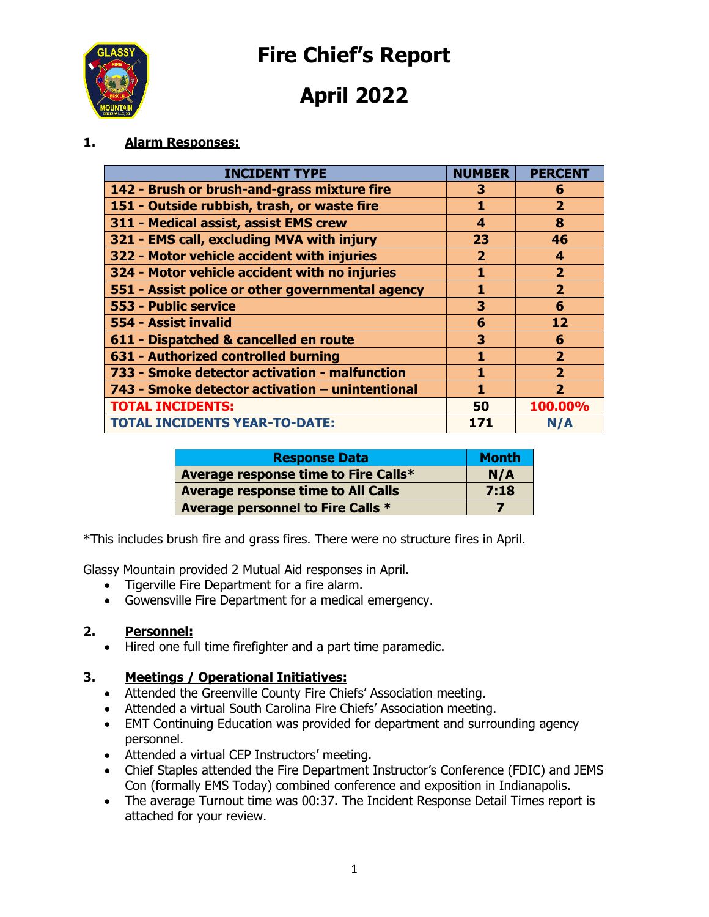**Fire Chief's Report**



**April 2022**

### **1. Alarm Responses:**

| <b>INCIDENT TYPE</b>                             | <b>NUMBER</b> | <b>PERCENT</b>          |
|--------------------------------------------------|---------------|-------------------------|
| 142 - Brush or brush-and-grass mixture fire      | 3             | 6                       |
| 151 - Outside rubbish, trash, or waste fire      | 1             | $\mathbf{2}$            |
| 311 - Medical assist, assist EMS crew            | 4             | 8                       |
| 321 - EMS call, excluding MVA with injury        | 23            | 46                      |
| 322 - Motor vehicle accident with injuries       | $\mathbf{2}$  | 4                       |
| 324 - Motor vehicle accident with no injuries    | 1             | $\overline{2}$          |
| 551 - Assist police or other governmental agency | 1             | $\overline{2}$          |
| 553 - Public service                             | 3             | 6                       |
| 554 - Assist invalid                             | 6             | 12                      |
| 611 - Dispatched & cancelled en route            | 3             | 6                       |
| 631 - Authorized controlled burning              | 1             | $\overline{2}$          |
| 733 - Smoke detector activation - malfunction    | 1             | $\overline{\mathbf{2}}$ |
| 743 - Smoke detector activation - unintentional  | 1             | $\overline{\mathbf{2}}$ |
| <b>TOTAL INCIDENTS:</b>                          | 50            | 100.00%                 |
| <b>TOTAL INCIDENTS YEAR-TO-DATE:</b>             | 171           | N/A                     |

| <b>Response Data</b>                      | <b>Month</b> |
|-------------------------------------------|--------------|
| Average response time to Fire Calls*      | N/A          |
| <b>Average response time to All Calls</b> | 7:18         |
| Average personnel to Fire Calls *         |              |

\*This includes brush fire and grass fires. There were no structure fires in April.

Glassy Mountain provided 2 Mutual Aid responses in April.

- Tigerville Fire Department for a fire alarm.
- Gowensville Fire Department for a medical emergency.

#### **2. Personnel:**

• Hired one full time firefighter and a part time paramedic.

#### **3. Meetings / Operational Initiatives:**

- Attended the Greenville County Fire Chiefs' Association meeting.
- Attended a virtual South Carolina Fire Chiefs' Association meeting.
- EMT Continuing Education was provided for department and surrounding agency personnel.
- Attended a virtual CEP Instructors' meeting.
- Chief Staples attended the Fire Department Instructor's Conference (FDIC) and JEMS Con (formally EMS Today) combined conference and exposition in Indianapolis.
- The average Turnout time was 00:37. The Incident Response Detail Times report is attached for your review.